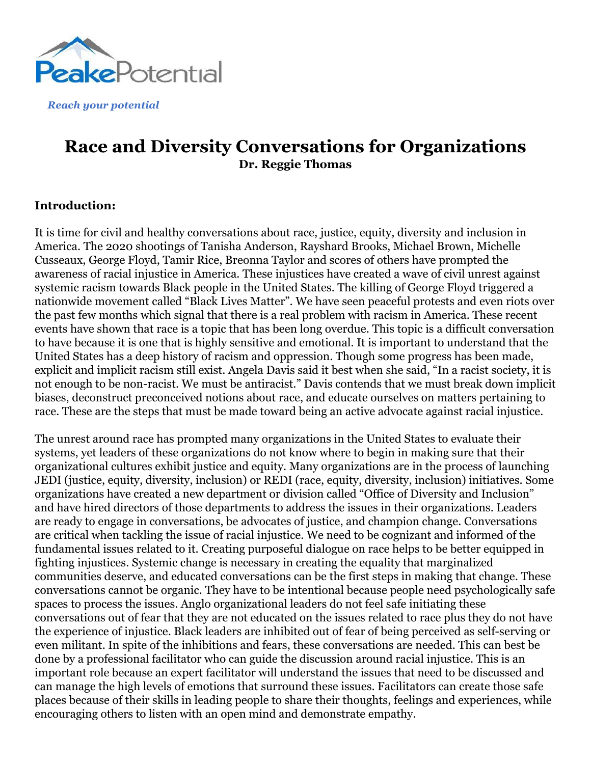

*Reach your potential*

# **Race and Diversity Conversations for Organizations Dr. Reggie Thomas**

### **Introduction:**

It is time for civil and healthy conversations about race, justice, equity, diversity and inclusion in America. The 2020 shootings of Tanisha Anderson, Rayshard Brooks, Michael Brown, Michelle Cusseaux, George Floyd, Tamir Rice, Breonna Taylor and scores of others have prompted the awareness of racial injustice in America. These injustices have created a wave of civil unrest against systemic racism towards Black people in the United States. The killing of George Floyd triggered a nationwide movement called "Black Lives Matter". We have seen peaceful protests and even riots over the past few months which signal that there is a real problem with racism in America. These recent events have shown that race is a topic that has been long overdue. This topic is a difficult conversation to have because it is one that is highly sensitive and emotional. It is important to understand that the United States has a deep history of racism and oppression. Though some progress has been made, explicit and implicit racism still exist. Angela Davis said it best when she said, "In a racist society, it is not enough to be non-racist. We must be antiracist." Davis contends that we must break down implicit biases, deconstruct preconceived notions about race, and educate ourselves on matters pertaining to race. These are the steps that must be made toward being an active advocate against racial injustice.

The unrest around race has prompted many organizations in the United States to evaluate their systems, yet leaders of these organizations do not know where to begin in making sure that their organizational cultures exhibit justice and equity. Many organizations are in the process of launching JEDI (justice, equity, diversity, inclusion) or REDI (race, equity, diversity, inclusion) initiatives. Some organizations have created a new department or division called "Office of Diversity and Inclusion" and have hired directors of those departments to address the issues in their organizations. Leaders are ready to engage in conversations, be advocates of justice, and champion change. Conversations are critical when tackling the issue of racial injustice. We need to be cognizant and informed of the fundamental issues related to it. Creating purposeful dialogue on race helps to be better equipped in fighting injustices. Systemic change is necessary in creating the equality that marginalized communities deserve, and educated conversations can be the first steps in making that change. These conversations cannot be organic. They have to be intentional because people need psychologically safe spaces to process the issues. Anglo organizational leaders do not feel safe initiating these conversations out of fear that they are not educated on the issues related to race plus they do not have the experience of injustice. Black leaders are inhibited out of fear of being perceived as self-serving or even militant. In spite of the inhibitions and fears, these conversations are needed. This can best be done by a professional facilitator who can guide the discussion around racial injustice. This is an important role because an expert facilitator will understand the issues that need to be discussed and can manage the high levels of emotions that surround these issues. Facilitators can create those safe places because of their skills in leading people to share their thoughts, feelings and experiences, while encouraging others to listen with an open mind and demonstrate empathy.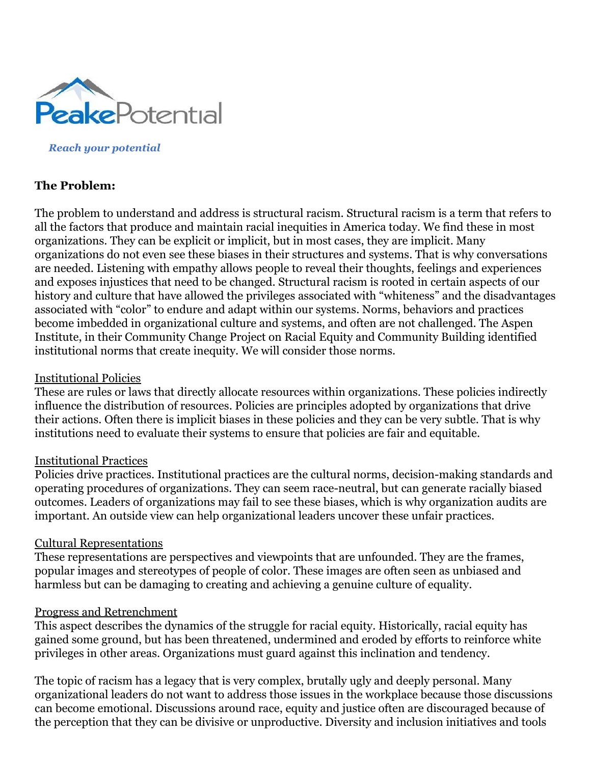

*Reach your potential*

## **The Problem:**

The problem to understand and address is structural racism. Structural racism is a term that refers to all the factors that produce and maintain racial inequities in America today. We find these in most organizations. They can be explicit or implicit, but in most cases, they are implicit. Many organizations do not even see these biases in their structures and systems. That is why conversations are needed. Listening with empathy allows people to reveal their thoughts, feelings and experiences and exposes injustices that need to be changed. Structural racism is rooted in certain aspects of our history and culture that have allowed the privileges associated with "whiteness" and the disadvantages associated with "color" to endure and adapt within our systems. Norms, behaviors and practices become imbedded in organizational culture and systems, and often are not challenged. The Aspen Institute, in their Community Change Project on Racial Equity and Community Building identified institutional norms that create inequity. We will consider those norms.

#### Institutional Policies

These are rules or laws that directly allocate resources within organizations. These policies indirectly influence the distribution of resources. Policies are principles adopted by organizations that drive their actions. Often there is implicit biases in these policies and they can be very subtle. That is why institutions need to evaluate their systems to ensure that policies are fair and equitable.

#### Institutional Practices

Policies drive practices. Institutional practices are the cultural norms, decision-making standards and operating procedures of organizations. They can seem race-neutral, but can generate racially biased outcomes. Leaders of organizations may fail to see these biases, which is why organization audits are important. An outside view can help organizational leaders uncover these unfair practices.

#### Cultural Representations

These representations are perspectives and viewpoints that are unfounded. They are the frames, popular images and stereotypes of people of color. These images are often seen as unbiased and harmless but can be damaging to creating and achieving a genuine culture of equality.

#### Progress and Retrenchment

This aspect describes the dynamics of the struggle for racial equity. Historically, racial equity has gained some ground, but has been threatened, undermined and eroded by efforts to reinforce white privileges in other areas. Organizations must guard against this inclination and tendency.

The topic of racism has a legacy that is very complex, brutally ugly and deeply personal. Many organizational leaders do not want to address those issues in the workplace because those discussions can become emotional. Discussions around race, equity and justice often are discouraged because of the perception that they can be divisive or unproductive. Diversity and inclusion initiatives and tools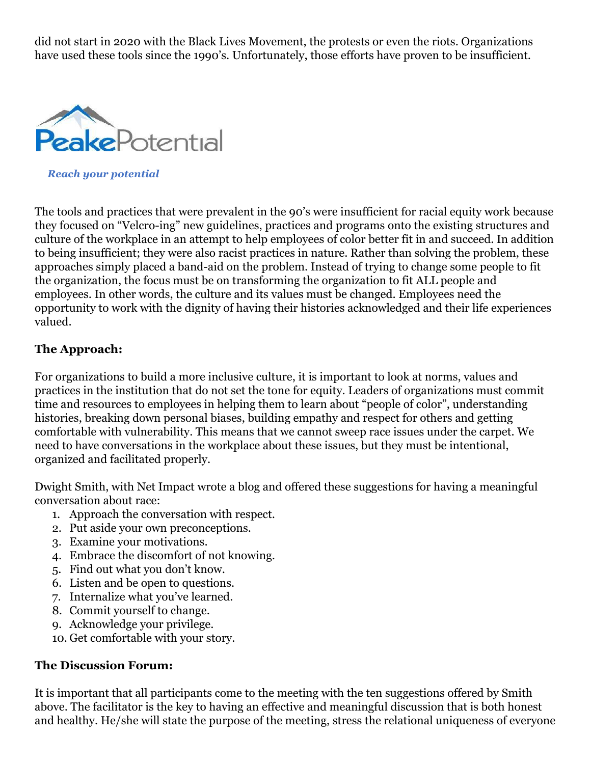did not start in 2020 with the Black Lives Movement, the protests or even the riots. Organizations have used these tools since the 1990's. Unfortunately, those efforts have proven to be insufficient.



*Reach your potential*

The tools and practices that were prevalent in the 90's were insufficient for racial equity work because they focused on "Velcro-ing" new guidelines, practices and programs onto the existing structures and culture of the workplace in an attempt to help employees of color better fit in and succeed. In addition to being insufficient; they were also racist practices in nature. Rather than solving the problem, these approaches simply placed a band-aid on the problem. Instead of trying to change some people to fit the organization, the focus must be on transforming the organization to fit ALL people and employees. In other words, the culture and its values must be changed. Employees need the opportunity to work with the dignity of having their histories acknowledged and their life experiences valued.

# **The Approach:**

For organizations to build a more inclusive culture, it is important to look at norms, values and practices in the institution that do not set the tone for equity. Leaders of organizations must commit time and resources to employees in helping them to learn about "people of color", understanding histories, breaking down personal biases, building empathy and respect for others and getting comfortable with vulnerability. This means that we cannot sweep race issues under the carpet. We need to have conversations in the workplace about these issues, but they must be intentional, organized and facilitated properly.

Dwight Smith, with Net Impact wrote a blog and offered these suggestions for having a meaningful conversation about race:

- 1. Approach the conversation with respect.
- 2. Put aside your own preconceptions.
- 3. Examine your motivations.
- 4. Embrace the discomfort of not knowing.
- 5. Find out what you don't know.
- 6. Listen and be open to questions.
- 7. Internalize what you've learned.
- 8. Commit yourself to change.
- 9. Acknowledge your privilege.
- 10. Get comfortable with your story.

# **The Discussion Forum:**

It is important that all participants come to the meeting with the ten suggestions offered by Smith above. The facilitator is the key to having an effective and meaningful discussion that is both honest and healthy. He/she will state the purpose of the meeting, stress the relational uniqueness of everyone